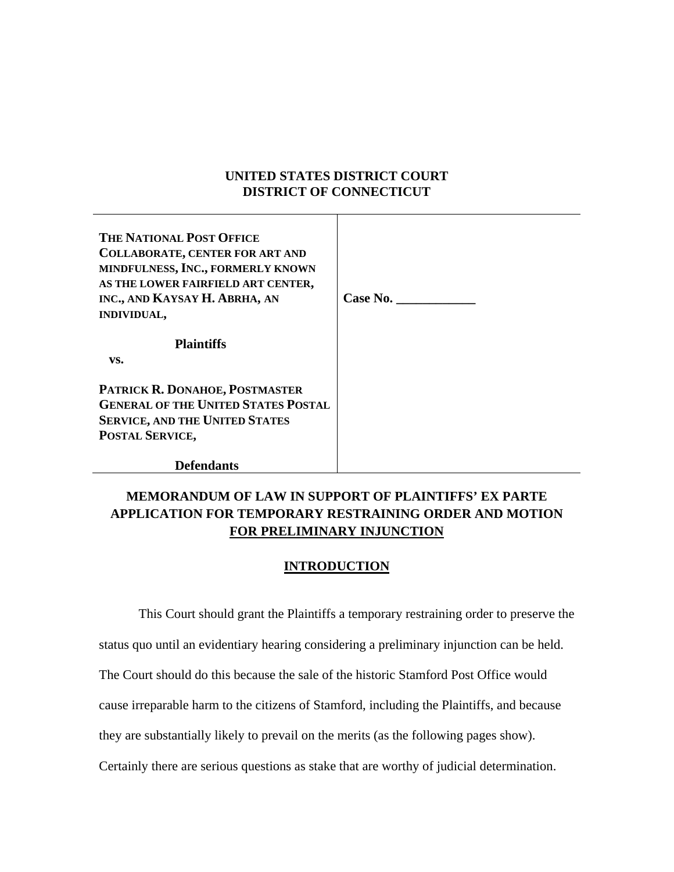## **UNITED STATES DISTRICT COURT DISTRICT OF CONNECTICUT**

| <b>THE NATIONAL POST OFFICE</b>            |          |
|--------------------------------------------|----------|
| <b>COLLABORATE, CENTER FOR ART AND</b>     |          |
| MINDFULNESS, INC., FORMERLY KNOWN          |          |
| AS THE LOWER FAIRFIELD ART CENTER,         |          |
| INC., AND KAYSAY H. ABRHA, AN              | Case No. |
| <b>INDIVIDUAL,</b>                         |          |
|                                            |          |
| <b>Plaintiffs</b>                          |          |
| VS.                                        |          |
| PATRICK R. DONAHOE, POSTMASTER             |          |
| <b>GENERAL OF THE UNITED STATES POSTAL</b> |          |
| <b>SERVICE, AND THE UNITED STATES</b>      |          |
| POSTAL SERVICE,                            |          |
|                                            |          |
| <b>Defendants</b>                          |          |

# **MEMORANDUM OF LAW IN SUPPORT OF PLAINTIFFS' EX PARTE APPLICATION FOR TEMPORARY RESTRAINING ORDER AND MOTION FOR PRELIMINARY INJUNCTION**

## **INTRODUCTION**

This Court should grant the Plaintiffs a temporary restraining order to preserve the status quo until an evidentiary hearing considering a preliminary injunction can be held. The Court should do this because the sale of the historic Stamford Post Office would cause irreparable harm to the citizens of Stamford, including the Plaintiffs, and because they are substantially likely to prevail on the merits (as the following pages show).

Certainly there are serious questions as stake that are worthy of judicial determination.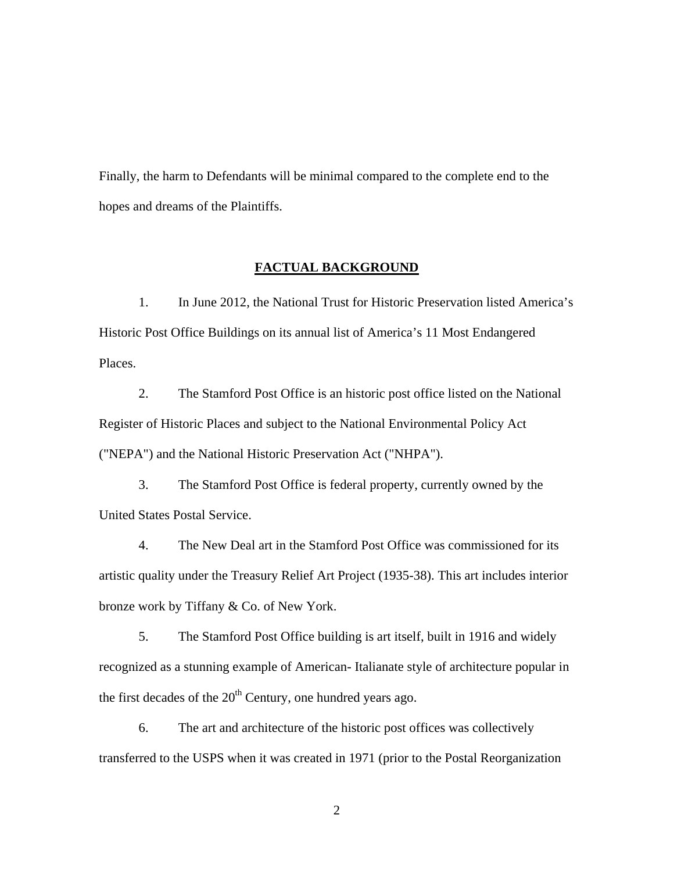Finally, the harm to Defendants will be minimal compared to the complete end to the hopes and dreams of the Plaintiffs.

## **FACTUAL BACKGROUND**

1. In June 2012, the National Trust for Historic Preservation listed America's Historic Post Office Buildings on its annual list of America's 11 Most Endangered Places.

2. The Stamford Post Office is an historic post office listed on the National Register of Historic Places and subject to the National Environmental Policy Act ("NEPA") and the National Historic Preservation Act ("NHPA").

3. The Stamford Post Office is federal property, currently owned by the United States Postal Service.

4. The New Deal art in the Stamford Post Office was commissioned for its artistic quality under the Treasury Relief Art Project (1935-38). This art includes interior bronze work by Tiffany & Co. of New York.

5. The Stamford Post Office building is art itself, built in 1916 and widely recognized as a stunning example of American- Italianate style of architecture popular in the first decades of the  $20<sup>th</sup>$  Century, one hundred years ago.

6. The art and architecture of the historic post offices was collectively transferred to the USPS when it was created in 1971 (prior to the Postal Reorganization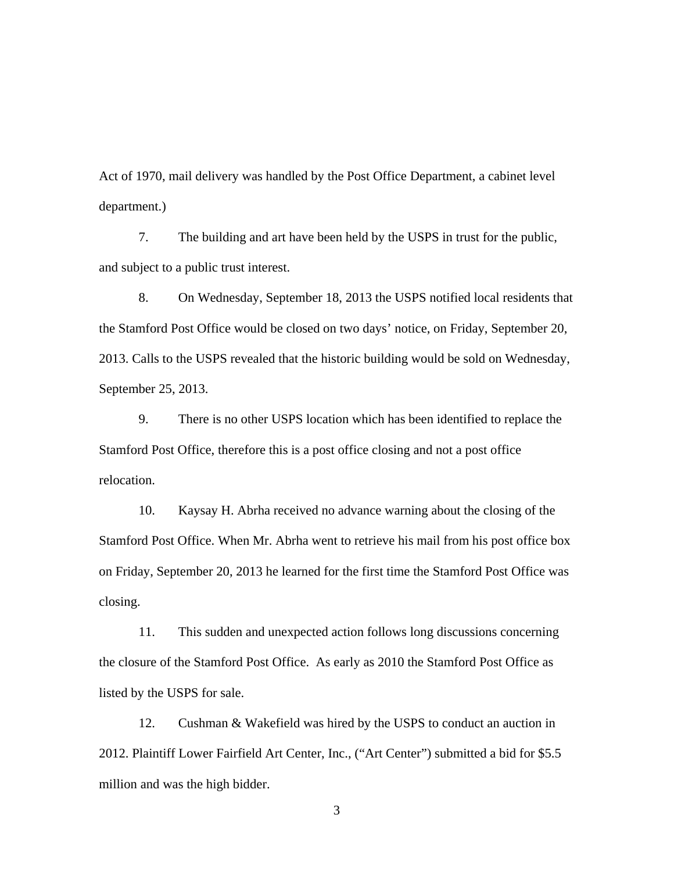Act of 1970, mail delivery was handled by the Post Office Department, a cabinet level department.)

7. The building and art have been held by the USPS in trust for the public, and subject to a public trust interest.

8. On Wednesday, September 18, 2013 the USPS notified local residents that the Stamford Post Office would be closed on two days' notice, on Friday, September 20, 2013. Calls to the USPS revealed that the historic building would be sold on Wednesday, September 25, 2013.

9. There is no other USPS location which has been identified to replace the Stamford Post Office, therefore this is a post office closing and not a post office relocation.

10. Kaysay H. Abrha received no advance warning about the closing of the Stamford Post Office. When Mr. Abrha went to retrieve his mail from his post office box on Friday, September 20, 2013 he learned for the first time the Stamford Post Office was closing.

11. This sudden and unexpected action follows long discussions concerning the closure of the Stamford Post Office. As early as 2010 the Stamford Post Office as listed by the USPS for sale.

12. Cushman & Wakefield was hired by the USPS to conduct an auction in 2012. Plaintiff Lower Fairfield Art Center, Inc., ("Art Center") submitted a bid for \$5.5 million and was the high bidder.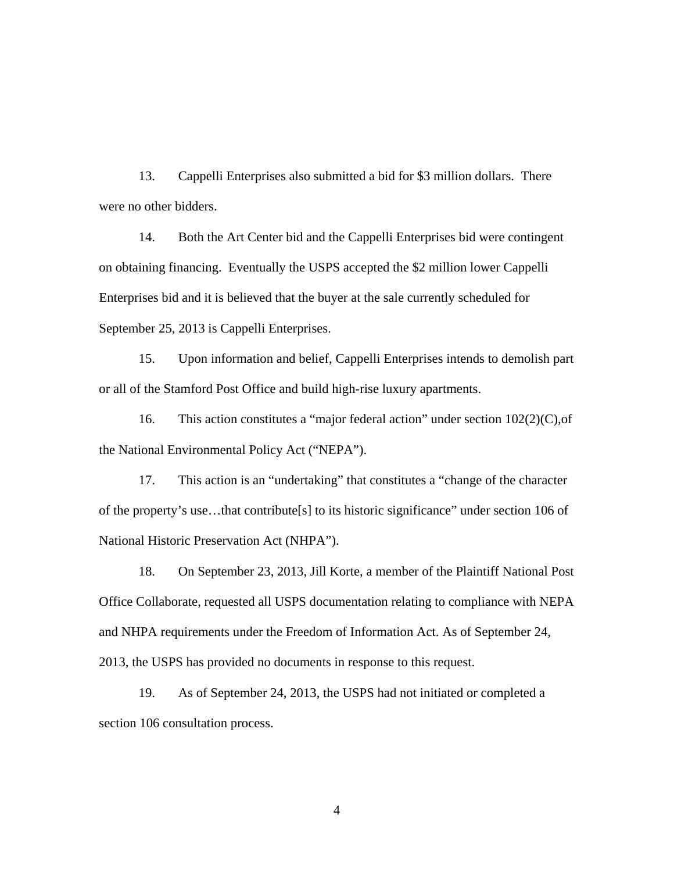13. Cappelli Enterprises also submitted a bid for \$3 million dollars. There were no other bidders.

14. Both the Art Center bid and the Cappelli Enterprises bid were contingent on obtaining financing. Eventually the USPS accepted the \$2 million lower Cappelli Enterprises bid and it is believed that the buyer at the sale currently scheduled for September 25, 2013 is Cappelli Enterprises.

15. Upon information and belief, Cappelli Enterprises intends to demolish part or all of the Stamford Post Office and build high-rise luxury apartments.

16. This action constitutes a "major federal action" under section 102(2)(C),of the National Environmental Policy Act ("NEPA").

17. This action is an "undertaking" that constitutes a "change of the character of the property's use…that contribute[s] to its historic significance" under section 106 of National Historic Preservation Act (NHPA").

18. On September 23, 2013, Jill Korte, a member of the Plaintiff National Post Office Collaborate, requested all USPS documentation relating to compliance with NEPA and NHPA requirements under the Freedom of Information Act. As of September 24, 2013, the USPS has provided no documents in response to this request.

19. As of September 24, 2013, the USPS had not initiated or completed a section 106 consultation process.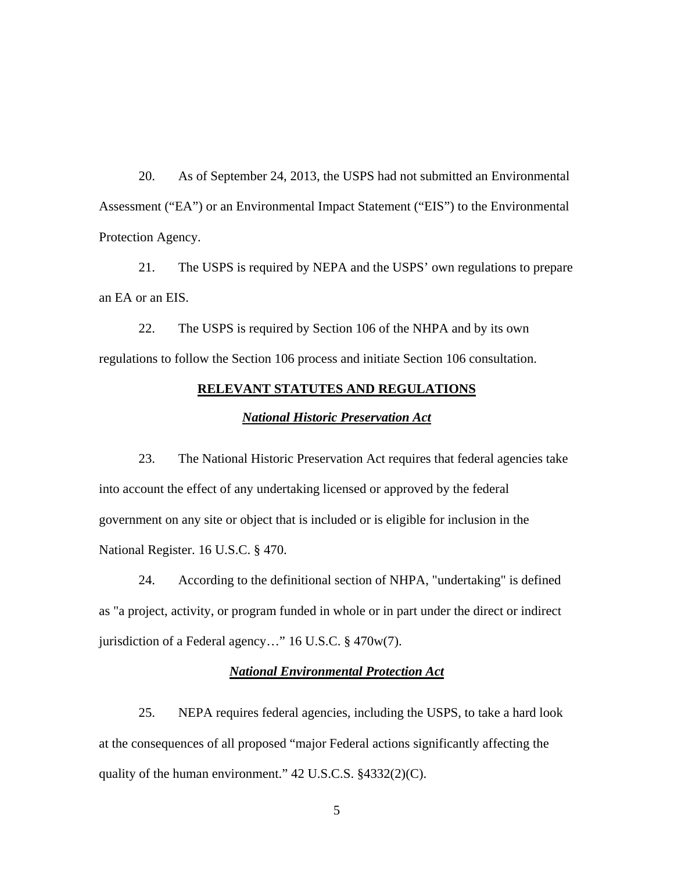20. As of September 24, 2013, the USPS had not submitted an Environmental Assessment ("EA") or an Environmental Impact Statement ("EIS") to the Environmental Protection Agency.

21. The USPS is required by NEPA and the USPS' own regulations to prepare an EA or an EIS.

22. The USPS is required by Section 106 of the NHPA and by its own regulations to follow the Section 106 process and initiate Section 106 consultation.

# **RELEVANT STATUTES AND REGULATIONS**

#### *National Historic Preservation Act*

23. The National Historic Preservation Act requires that federal agencies take into account the effect of any undertaking licensed or approved by the federal government on any site or object that is included or is eligible for inclusion in the National Register. 16 U.S.C. § 470.

24. According to the definitional section of NHPA, "undertaking" is defined as "a project, activity, or program funded in whole or in part under the direct or indirect jurisdiction of a Federal agency…" 16 U.S.C. § 470w(7).

## *National Environmental Protection Act*

25. NEPA requires federal agencies, including the USPS, to take a hard look at the consequences of all proposed "major Federal actions significantly affecting the quality of the human environment." 42 U.S.C.S. §4332(2)(C).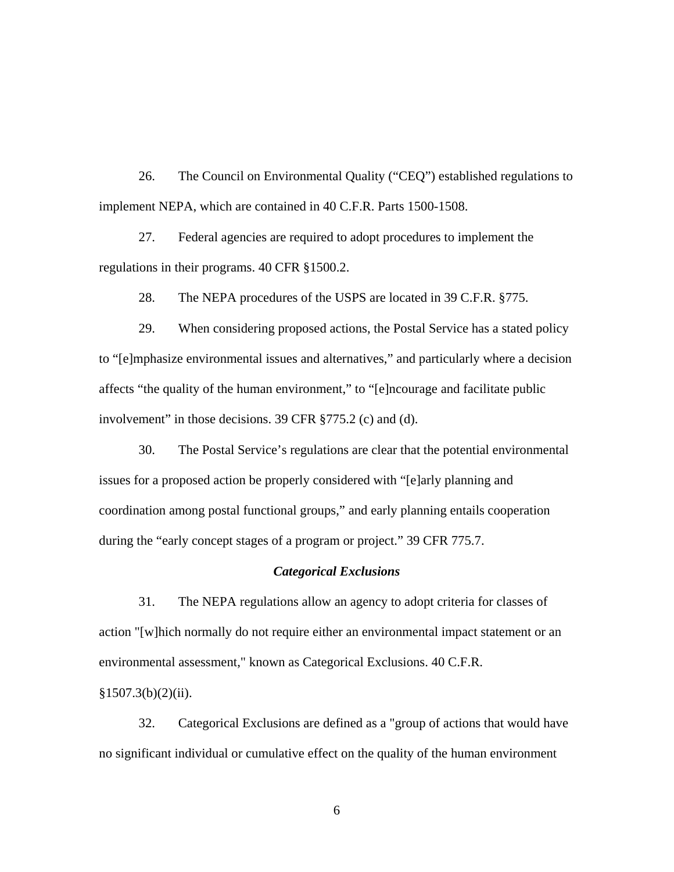26. The Council on Environmental Quality ("CEQ") established regulations to implement NEPA, which are contained in 40 C.F.R. Parts 1500-1508.

27. Federal agencies are required to adopt procedures to implement the regulations in their programs. 40 CFR §1500.2.

28. The NEPA procedures of the USPS are located in 39 C.F.R. §775.

29. When considering proposed actions, the Postal Service has a stated policy to "[e]mphasize environmental issues and alternatives," and particularly where a decision affects "the quality of the human environment," to "[e]ncourage and facilitate public involvement" in those decisions. 39 CFR §775.2 (c) and (d).

30. The Postal Service's regulations are clear that the potential environmental issues for a proposed action be properly considered with "[e]arly planning and coordination among postal functional groups," and early planning entails cooperation during the "early concept stages of a program or project." 39 CFR 775.7.

#### *Categorical Exclusions*

31. The NEPA regulations allow an agency to adopt criteria for classes of action "[w]hich normally do not require either an environmental impact statement or an environmental assessment," known as Categorical Exclusions. 40 C.F.R.  $§1507.3(b)(2)(ii).$ 

32. Categorical Exclusions are defined as a "group of actions that would have no significant individual or cumulative effect on the quality of the human environment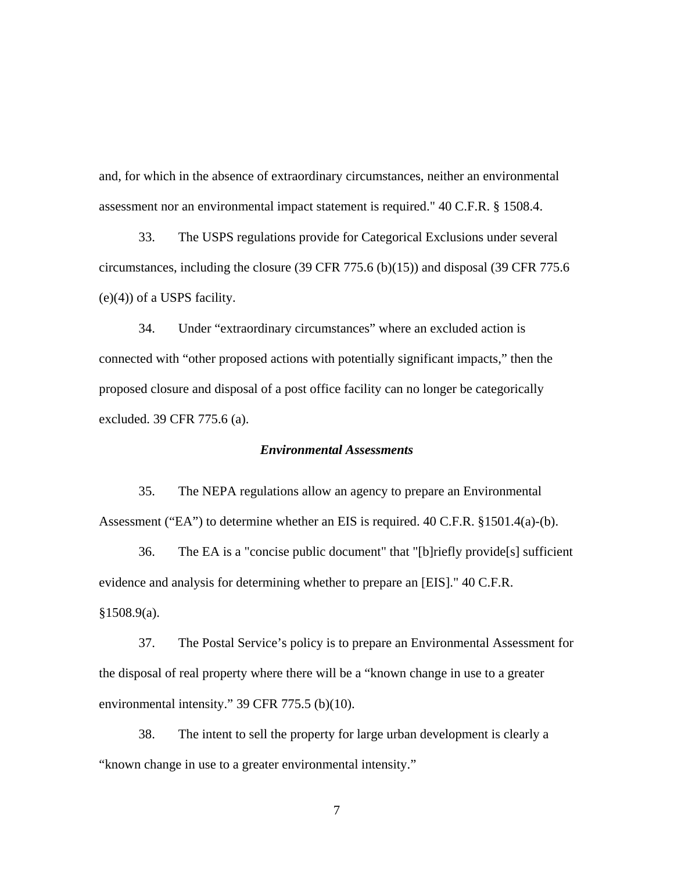and, for which in the absence of extraordinary circumstances, neither an environmental assessment nor an environmental impact statement is required." 40 C.F.R. § 1508.4.

33. The USPS regulations provide for Categorical Exclusions under several circumstances, including the closure (39 CFR 775.6 (b)(15)) and disposal (39 CFR 775.6 (e)(4)) of a USPS facility.

34. Under "extraordinary circumstances" where an excluded action is connected with "other proposed actions with potentially significant impacts," then the proposed closure and disposal of a post office facility can no longer be categorically excluded. 39 CFR 775.6 (a).

## *Environmental Assessments*

35. The NEPA regulations allow an agency to prepare an Environmental Assessment ("EA") to determine whether an EIS is required. 40 C.F.R. §1501.4(a)-(b).

36. The EA is a "concise public document" that "[b]riefly provide[s] sufficient evidence and analysis for determining whether to prepare an [EIS]." 40 C.F.R. §1508.9(a).

37. The Postal Service's policy is to prepare an Environmental Assessment for the disposal of real property where there will be a "known change in use to a greater environmental intensity." 39 CFR 775.5 (b)(10).

38. The intent to sell the property for large urban development is clearly a "known change in use to a greater environmental intensity."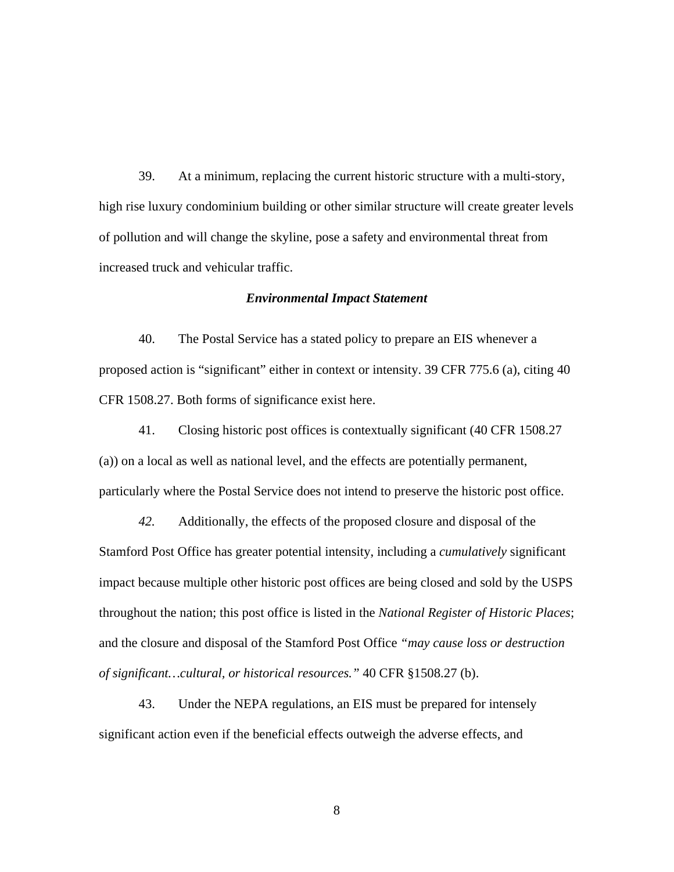39. At a minimum, replacing the current historic structure with a multi-story, high rise luxury condominium building or other similar structure will create greater levels of pollution and will change the skyline, pose a safety and environmental threat from increased truck and vehicular traffic.

### *Environmental Impact Statement*

40. The Postal Service has a stated policy to prepare an EIS whenever a proposed action is "significant" either in context or intensity. 39 CFR 775.6 (a), citing 40 CFR 1508.27. Both forms of significance exist here.

41. Closing historic post offices is contextually significant (40 CFR 1508.27 (a)) on a local as well as national level, and the effects are potentially permanent, particularly where the Postal Service does not intend to preserve the historic post office.

*42.* Additionally, the effects of the proposed closure and disposal of the Stamford Post Office has greater potential intensity, including a *cumulatively* significant impact because multiple other historic post offices are being closed and sold by the USPS throughout the nation; this post office is listed in the *National Register of Historic Places*; and the closure and disposal of the Stamford Post Office *"may cause loss or destruction of significant…cultural, or historical resources."* 40 CFR §1508.27 (b).

43. Under the NEPA regulations, an EIS must be prepared for intensely significant action even if the beneficial effects outweigh the adverse effects, and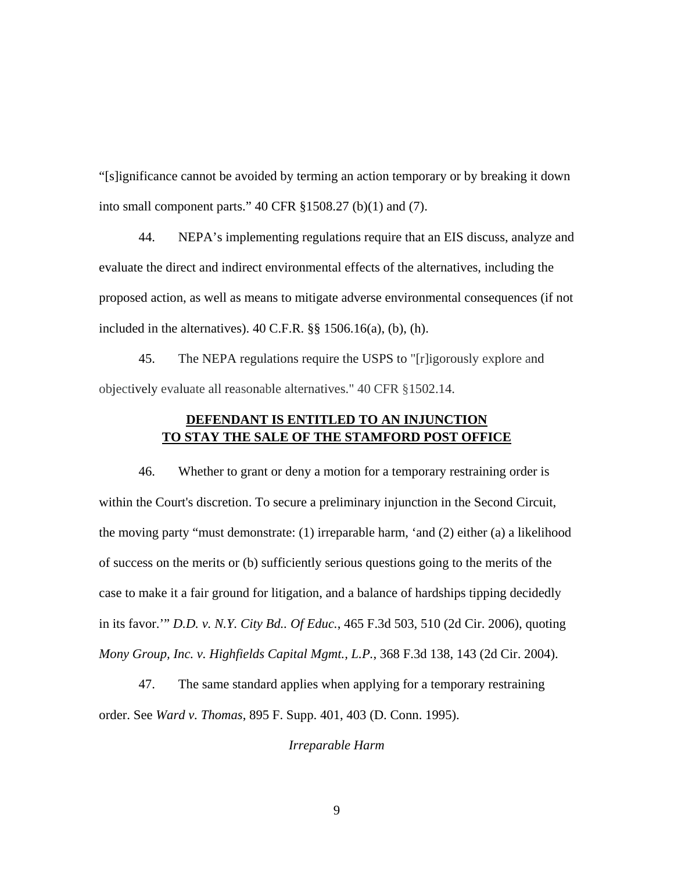"[s]ignificance cannot be avoided by terming an action temporary or by breaking it down into small component parts." 40 CFR §1508.27 (b)(1) and (7).

44. NEPA's implementing regulations require that an EIS discuss, analyze and evaluate the direct and indirect environmental effects of the alternatives, including the proposed action, as well as means to mitigate adverse environmental consequences (if not included in the alternatives).  $40 \text{ C.F.R.}$  §§  $1506.16(a)$ , (b), (h).

45. The NEPA regulations require the USPS to "[r]igorously explore and objectively evaluate all reasonable alternatives." 40 CFR §1502.14.

## **DEFENDANT IS ENTITLED TO AN INJUNCTION TO STAY THE SALE OF THE STAMFORD POST OFFICE**

46. Whether to grant or deny a motion for a temporary restraining order is within the Court's discretion. To secure a preliminary injunction in the Second Circuit, the moving party "must demonstrate: (1) irreparable harm, 'and (2) either (a) a likelihood of success on the merits or (b) sufficiently serious questions going to the merits of the case to make it a fair ground for litigation, and a balance of hardships tipping decidedly in its favor.'" *D.D. v. N.Y. City Bd.. Of Educ.*, 465 F.3d 503, 510 (2d Cir. 2006), quoting *Mony Group, Inc. v. Highfields Capital Mgmt., L.P.*, 368 F.3d 138, 143 (2d Cir. 2004).

47. The same standard applies when applying for a temporary restraining order. See *Ward v. Thomas*, 895 F. Supp. 401, 403 (D. Conn. 1995).

*Irreparable Harm*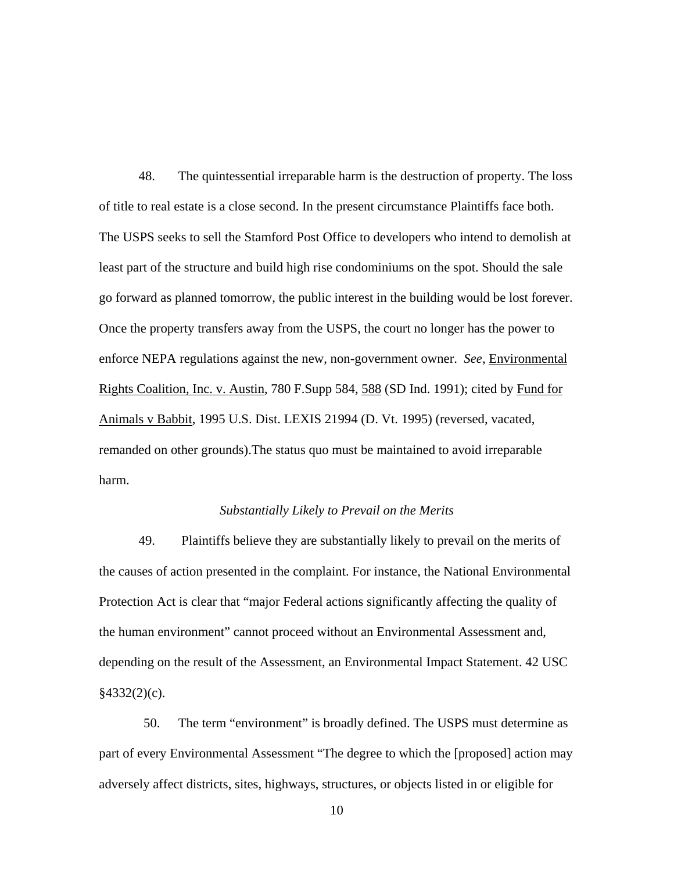48. The quintessential irreparable harm is the destruction of property. The loss of title to real estate is a close second. In the present circumstance Plaintiffs face both. The USPS seeks to sell the Stamford Post Office to developers who intend to demolish at least part of the structure and build high rise condominiums on the spot. Should the sale go forward as planned tomorrow, the public interest in the building would be lost forever. Once the property transfers away from the USPS, the court no longer has the power to enforce NEPA regulations against the new, non-government owner. *See*, Environmental Rights Coalition, Inc. v. Austin, 780 F.Supp 584, 588 (SD Ind. 1991); cited by Fund for Animals v Babbit, 1995 U.S. Dist. LEXIS 21994 (D. Vt. 1995) (reversed, vacated, remanded on other grounds).The status quo must be maintained to avoid irreparable harm.

#### *Substantially Likely to Prevail on the Merits*

49. Plaintiffs believe they are substantially likely to prevail on the merits of the causes of action presented in the complaint. For instance, the National Environmental Protection Act is clear that "major Federal actions significantly affecting the quality of the human environment" cannot proceed without an Environmental Assessment and, depending on the result of the Assessment, an Environmental Impact Statement. 42 USC  $§4332(2)(c)$ .

50. The term "environment" is broadly defined. The USPS must determine as part of every Environmental Assessment "The degree to which the [proposed] action may adversely affect districts, sites, highways, structures, or objects listed in or eligible for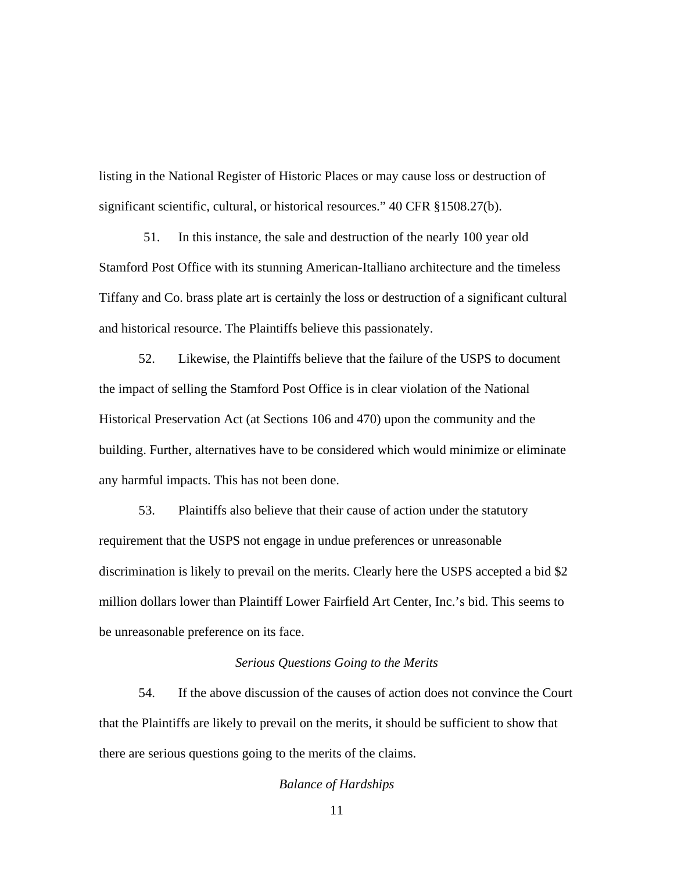listing in the National Register of Historic Places or may cause loss or destruction of significant scientific, cultural, or historical resources." 40 CFR §1508.27(b).

51. In this instance, the sale and destruction of the nearly 100 year old Stamford Post Office with its stunning American-Italliano architecture and the timeless Tiffany and Co. brass plate art is certainly the loss or destruction of a significant cultural and historical resource. The Plaintiffs believe this passionately.

52. Likewise, the Plaintiffs believe that the failure of the USPS to document the impact of selling the Stamford Post Office is in clear violation of the National Historical Preservation Act (at Sections 106 and 470) upon the community and the building. Further, alternatives have to be considered which would minimize or eliminate any harmful impacts. This has not been done.

53. Plaintiffs also believe that their cause of action under the statutory requirement that the USPS not engage in undue preferences or unreasonable discrimination is likely to prevail on the merits. Clearly here the USPS accepted a bid \$2 million dollars lower than Plaintiff Lower Fairfield Art Center, Inc.'s bid. This seems to be unreasonable preference on its face.

### *Serious Questions Going to the Merits*

54. If the above discussion of the causes of action does not convince the Court that the Plaintiffs are likely to prevail on the merits, it should be sufficient to show that there are serious questions going to the merits of the claims.

## *Balance of Hardships*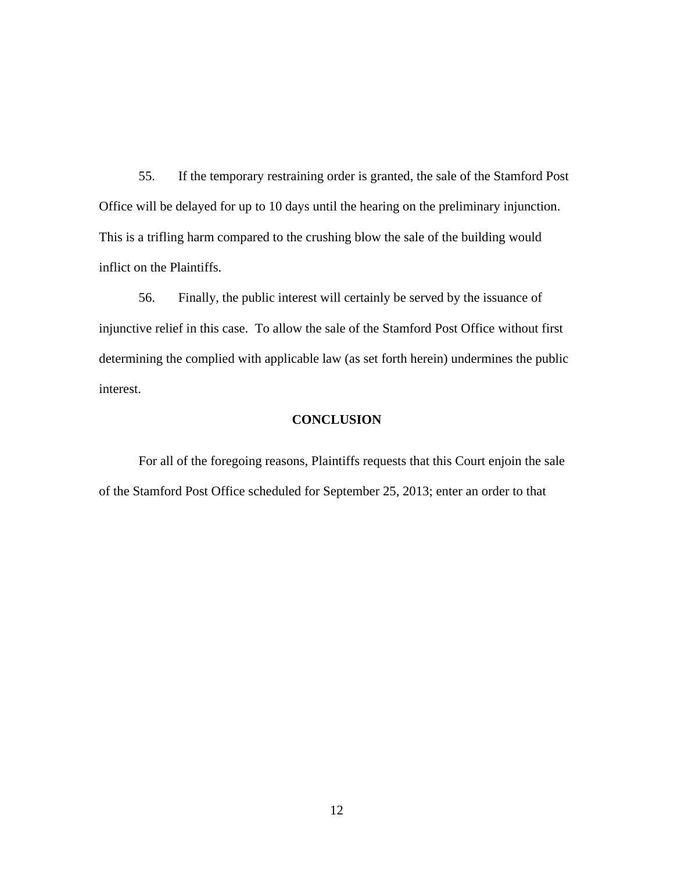55. If the temporary restraining order is granted, the sale of the Stamford Post Office will be delayed for up to 10 days until the hearing on the preliminary injunction. This is a trifling harm compared to the crushing blow the sale of the building would inflict on the Plaintiffs.

56. Finally, the public interest will certainly be served by the issuance of injunctive relief in this case. To allow the sale of the Stamford Post Office without first determining the complied with applicable law (as set forth herein) undermines the public interest.

## **CONCLUSION**

For all of the foregoing reasons, Plaintiffs requests that this Court enjoin the sale of the Stamford Post Office scheduled for September 25, 2013; enter an order to that